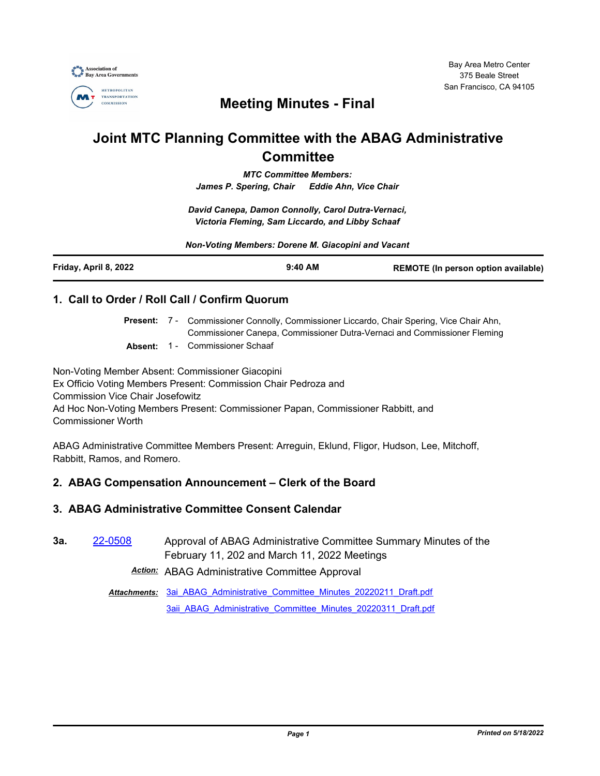

## **Meeting Minutes - Final**

# **Joint MTC Planning Committee with the ABAG Administrative Committee**

*MTC Committee Members: James P. Spering, Chair Eddie Ahn, Vice Chair*

*David Canepa, Damon Connolly, Carol Dutra-Vernaci, Victoria Fleming, Sam Liccardo, and Libby Schaaf*

*Non-Voting Members: Dorene M. Giacopini and Vacant*

| Friday, April 8, 2022 | $9:40$ AM<br><b>REMOTE (In person option available)</b> |
|-----------------------|---------------------------------------------------------|
|-----------------------|---------------------------------------------------------|

#### **1. Call to Order / Roll Call / Confirm Quorum**

Present: 7 - Commissioner Connolly, Commissioner Liccardo, Chair Spering, Vice Chair Ahn, Commissioner Canepa, Commissioner Dutra-Vernaci and Commissioner Fleming

**Absent:** 1 - Commissioner Schaaf

Non-Voting Member Absent: Commissioner Giacopini Ex Officio Voting Members Present: Commission Chair Pedroza and Commission Vice Chair Josefowitz Ad Hoc Non-Voting Members Present: Commissioner Papan, Commissioner Rabbitt, and Commissioner Worth

ABAG Administrative Committee Members Present: Arreguin, Eklund, Fligor, Hudson, Lee, Mitchoff, Rabbitt, Ramos, and Romero.

## **2. ABAG Compensation Announcement – Clerk of the Board**

#### **3. ABAG Administrative Committee Consent Calendar**

**3a.** [22-0508](http://mtc.legistar.com/gateway.aspx?m=l&id=/matter.aspx?key=23767) Approval of ABAG Administrative Committee Summary Minutes of the February 11, 202 and March 11, 2022 Meetings

*Action:* ABAG Administrative Committee Approval

Attachments: 3ai ABAG Administrative Committee Minutes 20220211 Draft.pdf [3aii\\_ABAG\\_Administrative\\_Committee\\_Minutes\\_20220311\\_Draft.pdf](http://mtc.legistar.com/gateway.aspx?M=F&ID=0e049f8d-b7eb-4745-b346-1f3766c7c933.pdf)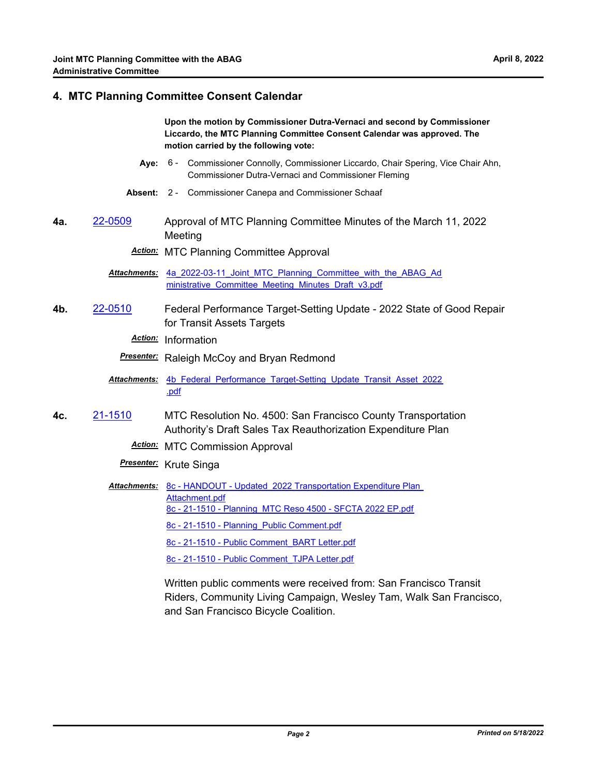#### **4. MTC Planning Committee Consent Calendar**

**Upon the motion by Commissioner Dutra-Vernaci and second by Commissioner Liccardo, the MTC Planning Committee Consent Calendar was approved. The motion carried by the following vote:**

- **Aye:** Commissioner Connolly, Commissioner Liccardo, Chair Spering, Vice Chair Ahn, Commissioner Dutra-Vernaci and Commissioner Fleming Aye: 6 -
- **Absent:** 2 Commissioner Canepa and Commissioner Schaaf
- **4a.** [22-0509](http://mtc.legistar.com/gateway.aspx?m=l&id=/matter.aspx?key=23768) Approval of MTC Planning Committee Minutes of the March 11, 2022 Meeting

*Action:* MTC Planning Committee Approval

Attachments: 4a 2022-03-11 Joint MTC Planning Committee with the ABAG Ad ministrative\_Committee\_Meeting\_Minutes\_Draft\_v3.pdf

**4b.** [22-0510](http://mtc.legistar.com/gateway.aspx?m=l&id=/matter.aspx?key=23769) Federal Performance Target-Setting Update - 2022 State of Good Repair for Transit Assets Targets

*Action:* Information

*Presenter:* Raleigh McCoy and Bryan Redmond

- Attachments: 4b Federal Performance Target-Setting Update Transit Asset 2022 .pdf
- **4c.** [21-1510](http://mtc.legistar.com/gateway.aspx?m=l&id=/matter.aspx?key=23103) MTC Resolution No. 4500: San Francisco County Transportation Authority's Draft Sales Tax Reauthorization Expenditure Plan
	- *Action:* MTC Commission Approval
	- *Presenter:* Krute Singa
	- Attachments: 8c HANDOUT Updated 2022 Transportation Expenditure Plan Attachment.pdf [8c - 21-1510 - Planning\\_MTC Reso 4500 - SFCTA 2022 EP.pdf](http://mtc.legistar.com/gateway.aspx?M=F&ID=73964fc9-cdf8-4ab2-82a0-a028f1518ffe.pdf) [8c - 21-1510 - Planning\\_Public Comment.pdf](http://mtc.legistar.com/gateway.aspx?M=F&ID=a902b1cc-0380-42eb-8148-7d69c796026f.pdf) [8c - 21-1510 - Public Comment\\_BART Letter.pdf](http://mtc.legistar.com/gateway.aspx?M=F&ID=0a68c95e-552a-4b90-b142-0db1e433cb6a.pdf) [8c - 21-1510 - Public Comment\\_TJPA Letter.pdf](http://mtc.legistar.com/gateway.aspx?M=F&ID=b8aaa659-3e6c-4c42-9136-b412d77b2931.pdf)

Written public comments were received from: San Francisco Transit Riders, Community Living Campaign, Wesley Tam, Walk San Francisco, and San Francisco Bicycle Coalition.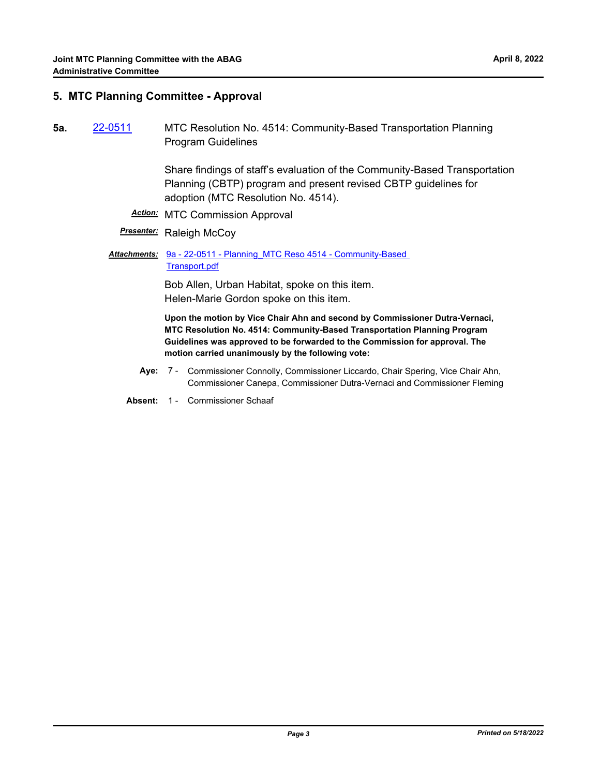#### **5. MTC Planning Committee - Approval**

**5a.** [22-0511](http://mtc.legistar.com/gateway.aspx?m=l&id=/matter.aspx?key=23770) MTC Resolution No. 4514: Community-Based Transportation Planning Program Guidelines

> Share findings of staff's evaluation of the Community-Based Transportation Planning (CBTP) program and present revised CBTP guidelines for adoption (MTC Resolution No. 4514).

*Action:* MTC Commission Approval

#### **Presenter:** Raleigh McCoy

Attachments: 9a - 22-0511 - Planning MTC Reso 4514 - Community-Based Transport.pdf

> Bob Allen, Urban Habitat, spoke on this item. Helen-Marie Gordon spoke on this item.

**Upon the motion by Vice Chair Ahn and second by Commissioner Dutra-Vernaci, MTC Resolution No. 4514: Community-Based Transportation Planning Program Guidelines was approved to be forwarded to the Commission for approval. The motion carried unanimously by the following vote:**

- **Aye:** Commissioner Connolly, Commissioner Liccardo, Chair Spering, Vice Chair Ahn, Commissioner Canepa, Commissioner Dutra-Vernaci and Commissioner Fleming Aye: 7 -
- **Absent:** 1 Commissioner Schaaf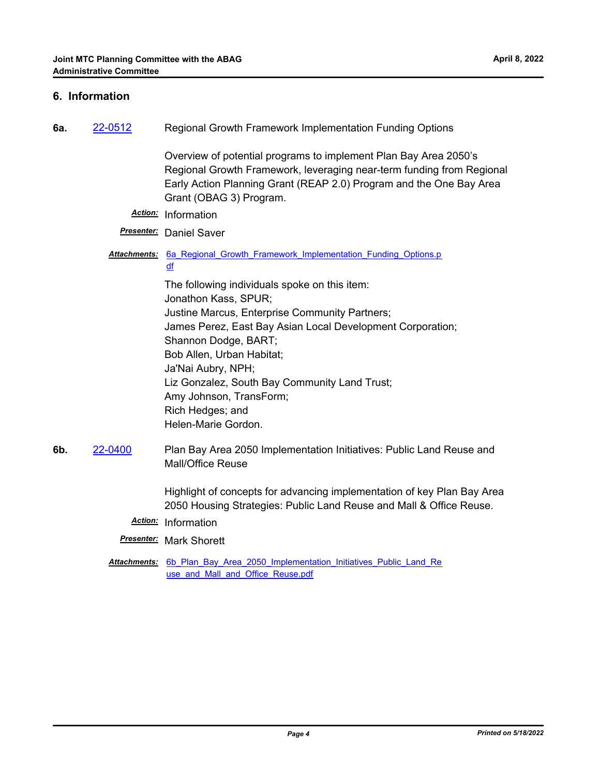#### **6. Information**

| 6а. | 22-0512 | Regional Growth Framework Implementation Funding Options                                                                                                                                                                                                                                                                                                                                |
|-----|---------|-----------------------------------------------------------------------------------------------------------------------------------------------------------------------------------------------------------------------------------------------------------------------------------------------------------------------------------------------------------------------------------------|
|     |         | Overview of potential programs to implement Plan Bay Area 2050's<br>Regional Growth Framework, leveraging near-term funding from Regional<br>Early Action Planning Grant (REAP 2.0) Program and the One Bay Area<br>Grant (OBAG 3) Program.                                                                                                                                             |
|     |         | Action: Information                                                                                                                                                                                                                                                                                                                                                                     |
|     |         | <b>Presenter:</b> Daniel Saver                                                                                                                                                                                                                                                                                                                                                          |
|     |         | Attachments: 6a Regional Growth Framework Implementation Funding Options.p<br>df                                                                                                                                                                                                                                                                                                        |
|     |         | The following individuals spoke on this item:<br>Jonathon Kass, SPUR;<br>Justine Marcus, Enterprise Community Partners;<br>James Perez, East Bay Asian Local Development Corporation;<br>Shannon Dodge, BART;<br>Bob Allen, Urban Habitat;<br>Ja'Nai Aubry, NPH;<br>Liz Gonzalez, South Bay Community Land Trust;<br>Amy Johnson, TransForm;<br>Rich Hedges; and<br>Helen-Marie Gordon. |
| 6b. | 22-0400 | Plan Bay Area 2050 Implementation Initiatives: Public Land Reuse and<br>Mall/Office Reuse                                                                                                                                                                                                                                                                                               |
|     |         | Highlight of concepts for advancing implementation of key Plan Bay Area<br>2050 Housing Strategies: Public Land Reuse and Mall & Office Reuse.                                                                                                                                                                                                                                          |
|     |         | Action: Information                                                                                                                                                                                                                                                                                                                                                                     |
|     |         | <b>Presenter:</b> Mark Shorett                                                                                                                                                                                                                                                                                                                                                          |
|     |         | Attachments: 6b Plan Bay Area 2050 Implementation Initiatives Public Land Re                                                                                                                                                                                                                                                                                                            |

use\_and\_Mall\_and\_Office\_Reuse.pdf